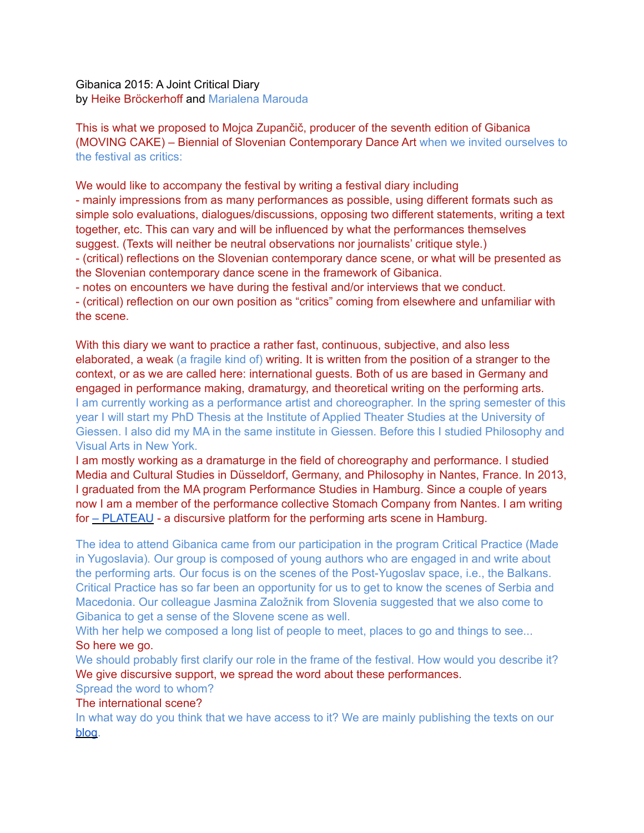Gibanica 2015: A Joint Critical Diary by Heike Bröckerhoff and Marialena Marouda

This is what we proposed to Mojca Zupančič, producer of the seventh edition of Gibanica (MOVING CAKE) – Biennial of Slovenian Contemporary Dance Art when we invited ourselves to the festival as critics:

We would like to accompany the festival by writing a festival diary including - mainly impressions from as many performances as possible, using different formats such as simple solo evaluations, dialogues/discussions, opposing two different statements, writing a text together, etc. This can vary and will be influenced by what the performances themselves suggest. (Texts will neither be neutral observations nor journalists' critique style.) - (critical) reflections on the Slovenian contemporary dance scene, or what will be presented as the Slovenian contemporary dance scene in the framework of Gibanica.

- notes on encounters we have during the festival and/or interviews that we conduct.

- (critical) reflection on our own position as "critics" coming from elsewhere and unfamiliar with the scene.

With this diary we want to practice a rather fast, continuous, subjective, and also less elaborated, a weak (a fragile kind of) writing. It is written from the position of a stranger to the context, or as we are called here: international guests. Both of us are based in Germany and engaged in performance making, dramaturgy, and theoretical writing on the performing arts. I am currently working as a performance artist and choreographer. In the spring semester of this year I will start my PhD Thesis at the Institute of Applied Theater Studies at the University of Giessen. I also did my MA in the same institute in Giessen. Before this I studied Philosophy and Visual Arts in New York.

I am mostly working as a dramaturge in the field of choreography and performance. I studied Media and Cultural Studies in Düsseldorf, Germany, and Philosophy in Nantes, France. In 2013, I graduated from the MA program Performance Studies in Hamburg. Since a couple of years now I am a member of the performance collective Stomach Company from Nantes. I am writing for  $-$  PLATEAU - a discursive platform for the performing arts scene in Hamburg.

The idea to attend Gibanica came from our participation in the program Critical Practice (Made in Yugoslavia)*.* Our group is composed of young authors who are engaged in and write about the performing arts*.* Our focus is on the scenes of the Post-Yugoslav space, i.e., the Balkans. Critical Practice has so far been an opportunity for us to get to know the scenes of Serbia and Macedonia. Our colleague Jasmina Založnik from Slovenia suggested that we also come to Gibanica to get a sense of the Slovene scene as well.

With her help we composed a long list of people to meet, places to go and things to see... So here we go.

We should probably first clarify our role in the frame of the festival. How would you describe it? We give discursive support, we spread the word about these performances.

# Spread the word to whom?

## The international scene?

In what way do you think that we have access to it? We are mainly publishing the texts on our [blog.](http://criticalpractice-madeinyu.info)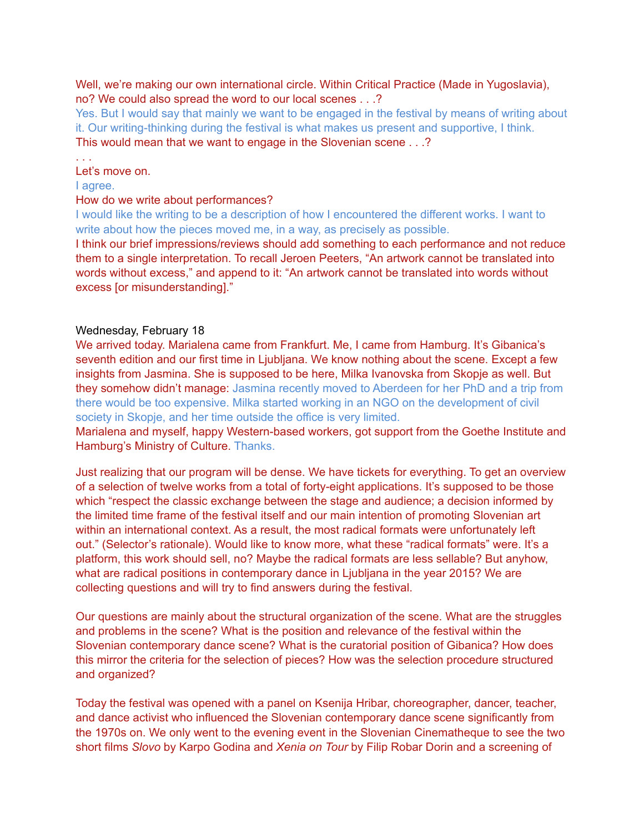Well, we're making our own international circle. Within Critical Practice (Made in Yugoslavia), no? We could also spread the word to our local scenes . . .?

Yes. But I would say that mainly we want to be engaged in the festival by means of writing about it. Our writing-thinking during the festival is what makes us present and supportive, I think. This would mean that we want to engage in the Slovenian scene . . .?

Let's move on.

I agree.

. . .

#### How do we write about performances?

I would like the writing to be a description of how I encountered the different works. I want to write about how the pieces moved me, in a way, as precisely as possible.

I think our brief impressions/reviews should add something to each performance and not reduce them to a single interpretation. To recall Jeroen Peeters, "An artwork cannot be translated into words without excess," and append to it: "An artwork cannot be translated into words without excess [or misunderstanding]."

#### Wednesday, February 18

We arrived today. Marialena came from Frankfurt. Me, I came from Hamburg. It's Gibanica's seventh edition and our first time in Ljubljana. We know nothing about the scene. Except a few insights from Jasmina. She is supposed to be here, Milka Ivanovska from Skopje as well. But they somehow didn't manage: Jasmina recently moved to Aberdeen for her PhD and a trip from there would be too expensive. Milka started working in an NGO on the development of civil society in Skopje, and her time outside the office is very limited.

Marialena and myself, happy Western-based workers, got support from the Goethe Institute and Hamburg's Ministry of Culture. Thanks.

Just realizing that our program will be dense. We have tickets for everything. To get an overview of a selection of twelve works from a total of forty-eight applications. It's supposed to be those which "respect the classic exchange between the stage and audience; a decision informed by the limited time frame of the festival itself and our main intention of promoting Slovenian art within an international context. As a result, the most radical formats were unfortunately left out." (Selector's rationale). Would like to know more, what these "radical formats" were. It's a platform, this work should sell, no? Maybe the radical formats are less sellable? But anyhow, what are radical positions in contemporary dance in Ljubljana in the year 2015? We are collecting questions and will try to find answers during the festival.

Our questions are mainly about the structural organization of the scene. What are the struggles and problems in the scene? What is the position and relevance of the festival within the Slovenian contemporary dance scene? What is the curatorial position of Gibanica? How does this mirror the criteria for the selection of pieces? How was the selection procedure structured and organized?

Today the festival was opened with a panel on Ksenija Hribar, choreographer, dancer, teacher, and dance activist who influenced the Slovenian contemporary dance scene significantly from the 1970s on. We only went to the evening event in the Slovenian Cinematheque to see the two short films *Slovo* by Karpo Godina and *Xenia on Tour* by Filip Robar Dorin and a screening of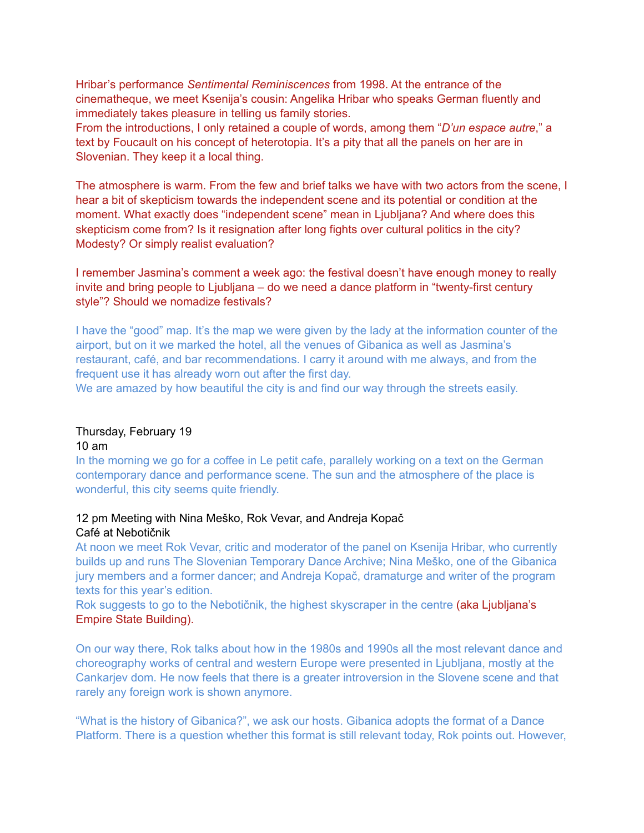Hribar's performance *Sentimental Reminiscences* from 1998. At the entrance of the cinematheque, we meet Ksenija's cousin: Angelika Hribar who speaks German fluently and immediately takes pleasure in telling us family stories.

From the introductions, I only retained a couple of words, among them "*D'un espace autre*," a text by Foucault on his concept of heterotopia. It's a pity that all the panels on her are in Slovenian. They keep it a local thing.

The atmosphere is warm. From the few and brief talks we have with two actors from the scene, I hear a bit of skepticism towards the independent scene and its potential or condition at the moment. What exactly does "independent scene" mean in Ljubljana? And where does this skepticism come from? Is it resignation after long fights over cultural politics in the city? Modesty? Or simply realist evaluation?

I remember Jasmina's comment a week ago: the festival doesn't have enough money to really invite and bring people to Ljubljana – do we need a dance platform in "twenty-first century style"? Should we nomadize festivals?

I have the "good" map. It's the map we were given by the lady at the information counter of the airport, but on it we marked the hotel, all the venues of Gibanica as well as Jasmina's restaurant, café, and bar recommendations. I carry it around with me always, and from the frequent use it has already worn out after the first day.

We are amazed by how beautiful the city is and find our way through the streets easily.

# Thursday, February 19

10 am

In the morning we go for a coffee in Le petit cafe, parallely working on a text on the German contemporary dance and performance scene. The sun and the atmosphere of the place is wonderful, this city seems quite friendly.

## 12 pm Meeting with Nina Meško, Rok Vevar, and Andreja Kopač Café at Nebotičnik

At noon we meet Rok Vevar, critic and moderator of the panel on Ksenija Hribar, who currently builds up and runs The Slovenian Temporary Dance Archive; Nina Meško, one of the Gibanica jury members and a former dancer; and Andreja Kopač, dramaturge and writer of the program texts for this year's edition.

Rok suggests to go to the Nebotičnik, the highest skyscraper in the centre (aka Ljubljana's Empire State Building).

On our way there, Rok talks about how in the 1980s and 1990s all the most relevant dance and choreography works of central and western Europe were presented in Ljubljana, mostly at the Cankarjev dom. He now feels that there is a greater introversion in the Slovene scene and that rarely any foreign work is shown anymore.

"What is the history of Gibanica?", we ask our hosts. Gibanica adopts the format of a Dance Platform. There is a question whether this format is still relevant today, Rok points out. However,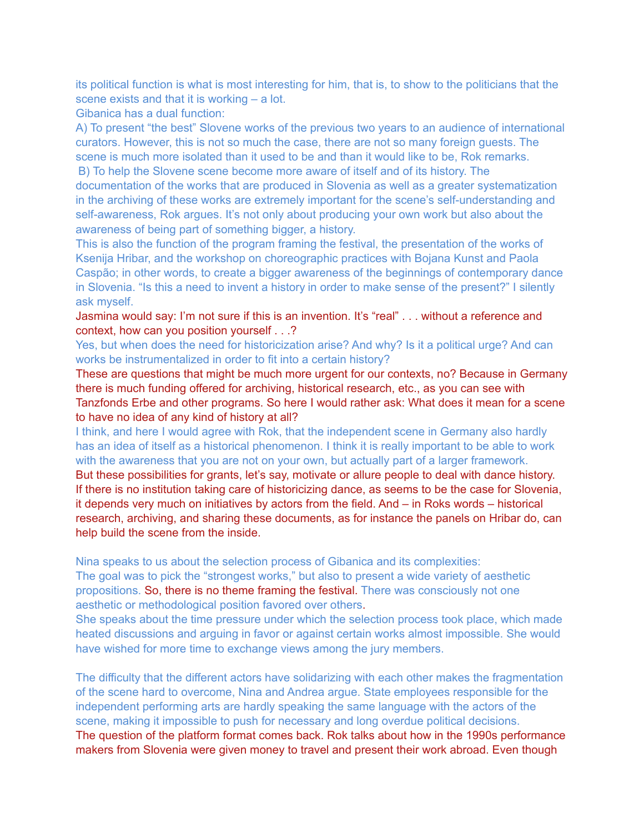its political function is what is most interesting for him, that is, to show to the politicians that the scene exists and that it is working – a lot.

Gibanica has a dual function:

A) To present "the best" Slovene works of the previous two years to an audience of international curators. However, this is not so much the case, there are not so many foreign guests. The scene is much more isolated than it used to be and than it would like to be, Rok remarks. B) To help the Slovene scene become more aware of itself and of its history. The

documentation of the works that are produced in Slovenia as well as a greater systematization in the archiving of these works are extremely important for the scene's self-understanding and self-awareness, Rok argues. It's not only about producing your own work but also about the awareness of being part of something bigger, a history.

This is also the function of the program framing the festival, the presentation of the works of Ksenija Hribar, and the workshop on choreographic practices with Bojana Kunst and Paola Caspão; in other words, to create a bigger awareness of the beginnings of contemporary dance in Slovenia. "Is this a need to invent a history in order to make sense of the present?" I silently ask myself.

Jasmina would say: I'm not sure if this is an invention. It's "real" . . . without a reference and context, how can you position yourself . . .?

Yes, but when does the need for historicization arise? And why? Is it a political urge? And can works be instrumentalized in order to fit into a certain history?

These are questions that might be much more urgent for our contexts, no? Because in Germany there is much funding offered for archiving, historical research, etc., as you can see with Tanzfonds Erbe and other programs. So here I would rather ask: What does it mean for a scene to have no idea of any kind of history at all?

I think, and here I would agree with Rok, that the independent scene in Germany also hardly has an idea of itself as a historical phenomenon. I think it is really important to be able to work with the awareness that you are not on your own, but actually part of a larger framework. But these possibilities for grants, let's say, motivate or allure people to deal with dance history. If there is no institution taking care of historicizing dance, as seems to be the case for Slovenia, it depends very much on initiatives by actors from the field. And – in Roks words – historical research, archiving, and sharing these documents, as for instance the panels on Hribar do, can help build the scene from the inside.

Nina speaks to us about the selection process of Gibanica and its complexities: The goal was to pick the "strongest works," but also to present a wide variety of aesthetic propositions. So, there is no theme framing the festival. There was consciously not one aesthetic or methodological position favored over others.

She speaks about the time pressure under which the selection process took place, which made heated discussions and arguing in favor or against certain works almost impossible. She would have wished for more time to exchange views among the jury members.

The difficulty that the different actors have solidarizing with each other makes the fragmentation of the scene hard to overcome, Nina and Andrea argue. State employees responsible for the independent performing arts are hardly speaking the same language with the actors of the scene, making it impossible to push for necessary and long overdue political decisions. The question of the platform format comes back. Rok talks about how in the 1990s performance makers from Slovenia were given money to travel and present their work abroad. Even though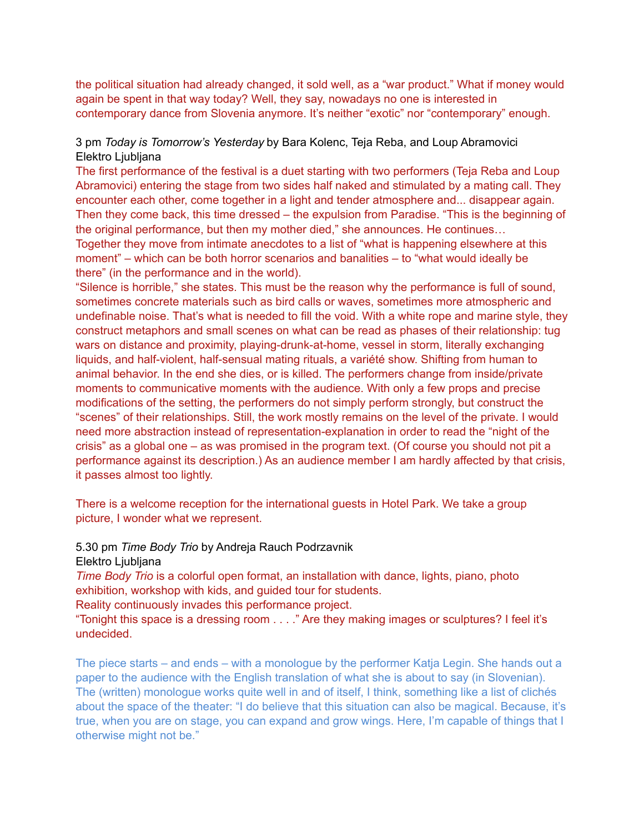the political situation had already changed, it sold well, as a "war product." What if money would again be spent in that way today? Well, they say, nowadays no one is interested in contemporary dance from Slovenia anymore. It's neither "exotic" nor "contemporary" enough.

## 3 pm *Today is Tomorrow's Yesterday* by Bara Kolenc, Teja Reba, and Loup Abramovici Elektro Ljubljana

The first performance of the festival is a duet starting with two performers (Teja Reba and Loup Abramovici) entering the stage from two sides half naked and stimulated by a mating call. They encounter each other, come together in a light and tender atmosphere and... disappear again. Then they come back, this time dressed – the expulsion from Paradise. "This is the beginning of the original performance, but then my mother died," she announces. He continues… Together they move from intimate anecdotes to a list of "what is happening elsewhere at this moment" – which can be both horror scenarios and banalities – to "what would ideally be

there" (in the performance and in the world).

"Silence is horrible," she states. This must be the reason why the performance is full of sound, sometimes concrete materials such as bird calls or waves, sometimes more atmospheric and undefinable noise. That's what is needed to fill the void. With a white rope and marine style, they construct metaphors and small scenes on what can be read as phases of their relationship: tug wars on distance and proximity, playing-drunk-at-home, vessel in storm, literally exchanging liquids, and half-violent, half-sensual mating rituals, a variété show. Shifting from human to animal behavior. In the end she dies, or is killed. The performers change from inside/private moments to communicative moments with the audience. With only a few props and precise modifications of the setting, the performers do not simply perform strongly, but construct the "scenes" of their relationships. Still, the work mostly remains on the level of the private. I would need more abstraction instead of representation-explanation in order to read the "night of the crisis" as a global one – as was promised in the program text. (Of course you should not pit a performance against its description.) As an audience member I am hardly affected by that crisis, it passes almost too lightly.

There is a welcome reception for the international guests in Hotel Park. We take a group picture, I wonder what we represent.

#### 5.30 pm *Time Body Trio* by Andreja Rauch Podrzavnik Elektro Ljubljana

*Time Body Trio* is a colorful open format, an installation with dance, lights, piano, photo exhibition, workshop with kids, and guided tour for students.

Reality continuously invades this performance project.

"Tonight this space is a dressing room . . . ." Are they making images or sculptures? I feel it's undecided.

The piece starts – and ends – with a monologue by the performer Katja Legin. She hands out a paper to the audience with the English translation of what she is about to say (in Slovenian). The (written) monologue works quite well in and of itself, I think, something like a list of clichés about the space of the theater: "I do believe that this situation can also be magical. Because, it's true, when you are on stage, you can expand and grow wings. Here, I'm capable of things that I otherwise might not be."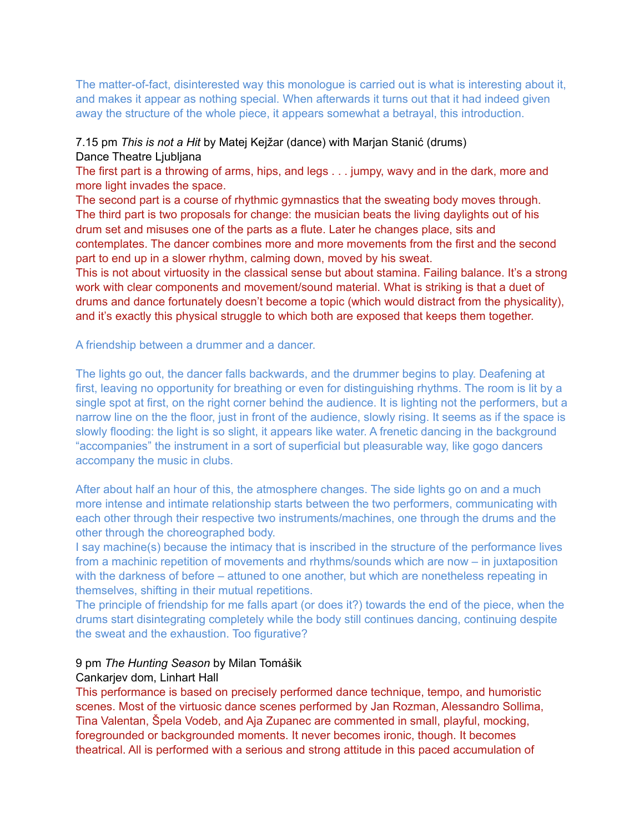The matter-of-fact, disinterested way this monologue is carried out is what is interesting about it, and makes it appear as nothing special. When afterwards it turns out that it had indeed given away the structure of the whole piece, it appears somewhat a betrayal, this introduction.

## 7.15 pm *This is not a Hit* by Matej Kejžar (dance) with Marjan Stanić (drums) Dance Theatre Ljubljana

The first part is a throwing of arms, hips, and legs . . . jumpy, wavy and in the dark, more and more light invades the space.

The second part is a course of rhythmic gymnastics that the sweating body moves through. The third part is two proposals for change: the musician beats the living daylights out of his drum set and misuses one of the parts as a flute. Later he changes place, sits and contemplates. The dancer combines more and more movements from the first and the second part to end up in a slower rhythm, calming down, moved by his sweat.

This is not about virtuosity in the classical sense but about stamina. Failing balance. It's a strong work with clear components and movement/sound material. What is striking is that a duet of drums and dance fortunately doesn't become a topic (which would distract from the physicality), and it's exactly this physical struggle to which both are exposed that keeps them together.

A friendship between a drummer and a dancer.

The lights go out, the dancer falls backwards, and the drummer begins to play. Deafening at first, leaving no opportunity for breathing or even for distinguishing rhythms. The room is lit by a single spot at first, on the right corner behind the audience. It is lighting not the performers, but a narrow line on the the floor, just in front of the audience, slowly rising. It seems as if the space is slowly flooding: the light is so slight, it appears like water. A frenetic dancing in the background "accompanies" the instrument in a sort of superficial but pleasurable way, like gogo dancers accompany the music in clubs.

After about half an hour of this, the atmosphere changes. The side lights go on and a much more intense and intimate relationship starts between the two performers, communicating with each other through their respective two instruments/machines, one through the drums and the other through the choreographed body.

I say machine(s) because the intimacy that is inscribed in the structure of the performance lives from a machinic repetition of movements and rhythms/sounds which are now – in juxtaposition with the darkness of before – attuned to one another, but which are nonetheless repeating in themselves, shifting in their mutual repetitions.

The principle of friendship for me falls apart (or does it?) towards the end of the piece, when the drums start disintegrating completely while the body still continues dancing, continuing despite the sweat and the exhaustion. Too figurative?

## 9 pm *The Hunting Season* by Milan Tomášik

#### Cankarjev dom, Linhart Hall

This performance is based on precisely performed dance technique, tempo, and humoristic scenes. Most of the virtuosic dance scenes performed by Jan Rozman, Alessandro Sollima, Tina Valentan, Špela Vodeb, and Aja Zupanec are commented in small, playful, mocking, foregrounded or backgrounded moments. It never becomes ironic, though. It becomes theatrical. All is performed with a serious and strong attitude in this paced accumulation of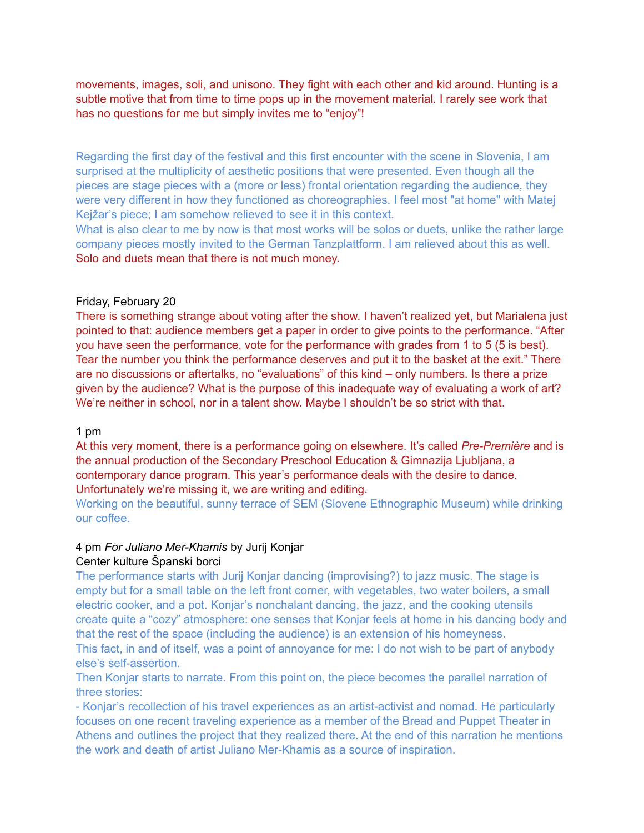movements, images, soli, and unisono. They fight with each other and kid around. Hunting is a subtle motive that from time to time pops up in the movement material. I rarely see work that has no questions for me but simply invites me to "enjoy"!

Regarding the first day of the festival and this first encounter with the scene in Slovenia, I am surprised at the multiplicity of aesthetic positions that were presented. Even though all the pieces are stage pieces with a (more or less) frontal orientation regarding the audience, they were very different in how they functioned as choreographies. I feel most "at home" with Matej Kejžar's piece; I am somehow relieved to see it in this context.

What is also clear to me by now is that most works will be solos or duets, unlike the rather large company pieces mostly invited to the German Tanzplattform. I am relieved about this as well. Solo and duets mean that there is not much money.

#### Friday, February 20

There is something strange about voting after the show. I haven't realized yet, but Marialena just pointed to that: audience members get a paper in order to give points to the performance. "After you have seen the performance, vote for the performance with grades from 1 to 5 (5 is best). Tear the number you think the performance deserves and put it to the basket at the exit." There are no discussions or aftertalks, no "evaluations" of this kind – only numbers. Is there a prize given by the audience? What is the purpose of this inadequate way of evaluating a work of art? We're neither in school, nor in a talent show. Maybe I shouldn't be so strict with that.

#### 1 pm

At this very moment, there is a performance going on elsewhere. It's called *Pre-Première* and is the annual production of the Secondary Preschool Education & Gimnazija Ljubljana, a contemporary dance program. This year's performance deals with the desire to dance. Unfortunately we're missing it, we are writing and editing.

Working on the beautiful, sunny terrace of SEM (Slovene Ethnographic Museum) while drinking our coffee.

#### 4 pm *For Juliano Mer-Khamis* by Jurij Konjar Center kulture Španski borci

The performance starts with Jurij Konjar dancing (improvising?) to jazz music. The stage is empty but for a small table on the left front corner, with vegetables, two water boilers, a small electric cooker, and a pot. Konjar's nonchalant dancing, the jazz, and the cooking utensils create quite a "cozy" atmosphere: one senses that Konjar feels at home in his dancing body and that the rest of the space (including the audience) is an extension of his homeyness. This fact, in and of itself, was a point of annoyance for me: I do not wish to be part of anybody else's self-assertion.

Then Konjar starts to narrate. From this point on, the piece becomes the parallel narration of three stories:

- Konjar's recollection of his travel experiences as an artist-activist and nomad. He particularly focuses on one recent traveling experience as a member of the Bread and Puppet Theater in Athens and outlines the project that they realized there. At the end of this narration he mentions the work and death of artist Juliano Mer-Khamis as a source of inspiration.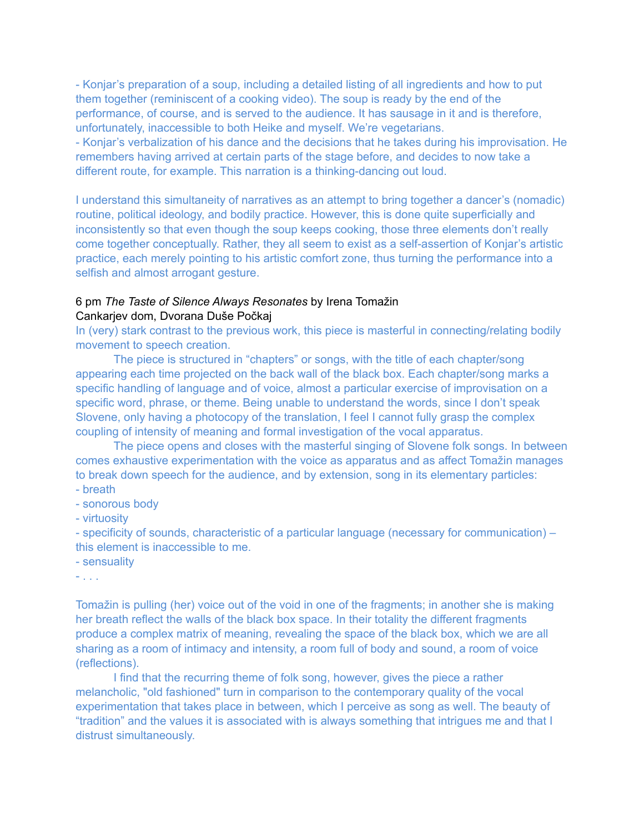- Konjar's preparation of a soup, including a detailed listing of all ingredients and how to put them together (reminiscent of a cooking video). The soup is ready by the end of the performance, of course, and is served to the audience. It has sausage in it and is therefore, unfortunately, inaccessible to both Heike and myself. We're vegetarians.

- Konjar's verbalization of his dance and the decisions that he takes during his improvisation. He remembers having arrived at certain parts of the stage before, and decides to now take a different route, for example. This narration is a thinking-dancing out loud.

I understand this simultaneity of narratives as an attempt to bring together a dancer's (nomadic) routine, political ideology, and bodily practice. However, this is done quite superficially and inconsistently so that even though the soup keeps cooking, those three elements don't really come together conceptually. Rather, they all seem to exist as a self-assertion of Konjar's artistic practice, each merely pointing to his artistic comfort zone, thus turning the performance into a selfish and almost arrogant gesture.

## 6 pm *The Taste of Silence Always Resonates* by Irena Tomažin Cankarjev dom, Dvorana Duše Počkaj

In (very) stark contrast to the previous work, this piece is masterful in connecting/relating bodily movement to speech creation.

The piece is structured in "chapters" or songs, with the title of each chapter/song appearing each time projected on the back wall of the black box. Each chapter/song marks a specific handling of language and of voice, almost a particular exercise of improvisation on a specific word, phrase, or theme. Being unable to understand the words, since I don't speak Slovene, only having a photocopy of the translation, I feel I cannot fully grasp the complex coupling of intensity of meaning and formal investigation of the vocal apparatus.

The piece opens and closes with the masterful singing of Slovene folk songs. In between comes exhaustive experimentation with the voice as apparatus and as affect Tomažin manages to break down speech for the audience, and by extension, song in its elementary particles: - breath

- sonorous body
- virtuosity

- specificity of sounds, characteristic of a particular language (necessary for communication) – this element is inaccessible to me.

- sensuality

- . . .

Tomažin is pulling (her) voice out of the void in one of the fragments; in another she is making her breath reflect the walls of the black box space. In their totality the different fragments produce a complex matrix of meaning, revealing the space of the black box, which we are all sharing as a room of intimacy and intensity, a room full of body and sound, a room of voice (reflections).

 I find that the recurring theme of folk song, however, gives the piece a rather melancholic, "old fashioned" turn in comparison to the contemporary quality of the vocal experimentation that takes place in between, which I perceive as song as well. The beauty of "tradition" and the values it is associated with is always something that intrigues me and that I distrust simultaneously.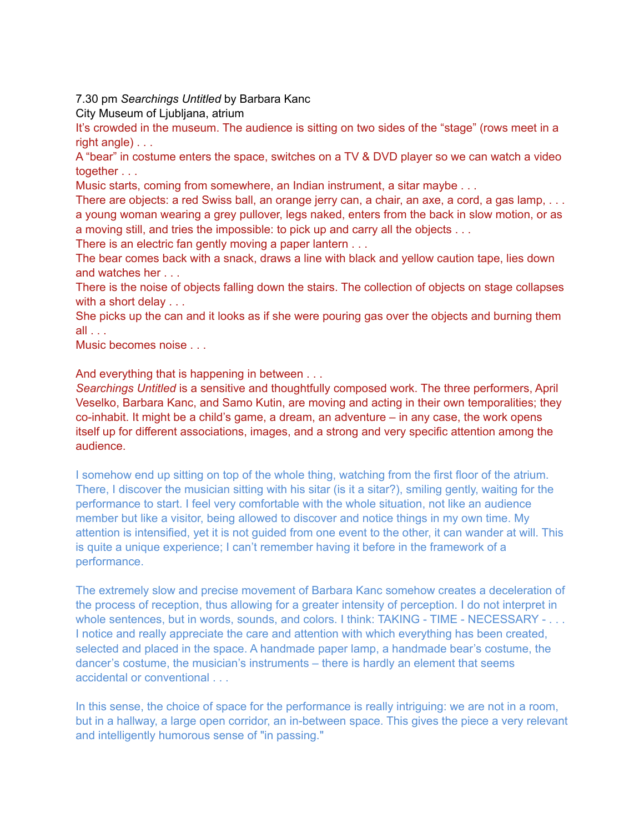7.30 pm *Searchings Untitled* by Barbara Kanc

City Museum of Ljubljana, atrium

It's crowded in the museum. The audience is sitting on two sides of the "stage" (rows meet in a right angle) . . .

A "bear" in costume enters the space, switches on a TV & DVD player so we can watch a video together . . .

Music starts, coming from somewhere, an Indian instrument, a sitar maybe . . .

There are objects: a red Swiss ball, an orange jerry can, a chair, an axe, a cord, a gas lamp, . . . a young woman wearing a grey pullover, legs naked, enters from the back in slow motion, or as a moving still, and tries the impossible: to pick up and carry all the objects . . .

There is an electric fan gently moving a paper lantern . . .

The bear comes back with a snack, draws a line with black and yellow caution tape, lies down and watches her . . .

There is the noise of objects falling down the stairs. The collection of objects on stage collapses with a short delay . . .

She picks up the can and it looks as if she were pouring gas over the objects and burning them all . . .

Music becomes noise . . .

And everything that is happening in between . . .

*Searchings Untitled* is a sensitive and thoughtfully composed work. The three performers, April Veselko, Barbara Kanc, and Samo Kutin, are moving and acting in their own temporalities; they co-inhabit. It might be a child's game, a dream, an adventure – in any case, the work opens itself up for different associations, images, and a strong and very specific attention among the audience.

I somehow end up sitting on top of the whole thing, watching from the first floor of the atrium. There, I discover the musician sitting with his sitar (is it a sitar?), smiling gently, waiting for the performance to start. I feel very comfortable with the whole situation, not like an audience member but like a visitor, being allowed to discover and notice things in my own time. My attention is intensified, yet it is not guided from one event to the other, it can wander at will. This is quite a unique experience; I can't remember having it before in the framework of a performance.

The extremely slow and precise movement of Barbara Kanc somehow creates a deceleration of the process of reception, thus allowing for a greater intensity of perception. I do not interpret in whole sentences, but in words, sounds, and colors. I think: TAKING - TIME - NECESSARY - . . . I notice and really appreciate the care and attention with which everything has been created, selected and placed in the space. A handmade paper lamp, a handmade bear's costume, the dancer's costume, the musician's instruments – there is hardly an element that seems accidental or conventional . . .

In this sense, the choice of space for the performance is really intriguing: we are not in a room, but in a hallway, a large open corridor, an in-between space. This gives the piece a very relevant and intelligently humorous sense of "in passing."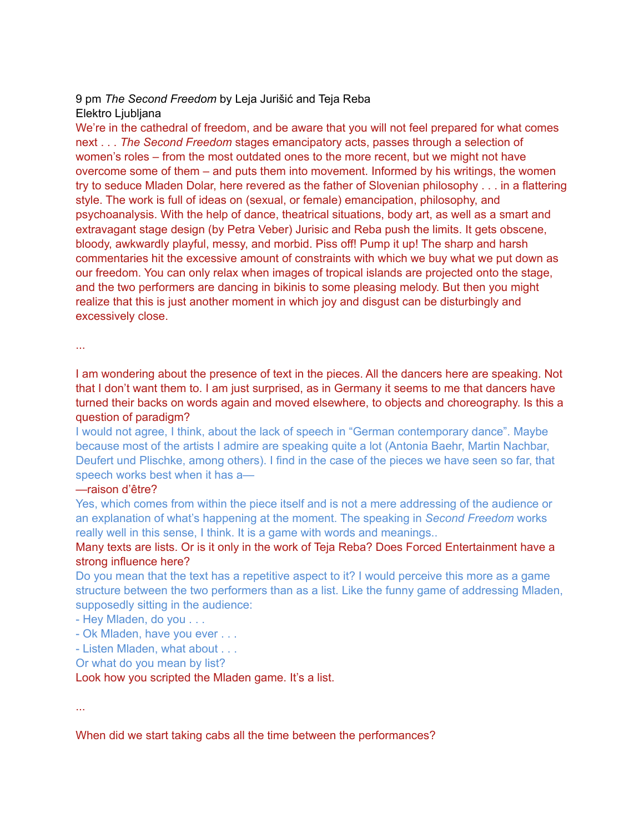# 9 pm *The Second Freedom* by Leja Jurišić and Teja Reba Elektro Ljubljana

We're in the cathedral of freedom, and be aware that you will not feel prepared for what comes next . . . *The Second Freedom* stages emancipatory acts, passes through a selection of women's roles – from the most outdated ones to the more recent, but we might not have overcome some of them – and puts them into movement. Informed by his writings, the women try to seduce Mladen Dolar, here revered as the father of Slovenian philosophy . . . in a flattering style. The work is full of ideas on (sexual, or female) emancipation, philosophy, and psychoanalysis. With the help of dance, theatrical situations, body art, as well as a smart and extravagant stage design (by Petra Veber) Jurisic and Reba push the limits. It gets obscene, bloody, awkwardly playful, messy, and morbid. Piss off! Pump it up! The sharp and harsh commentaries hit the excessive amount of constraints with which we buy what we put down as our freedom. You can only relax when images of tropical islands are projected onto the stage, and the two performers are dancing in bikinis to some pleasing melody. But then you might realize that this is just another moment in which joy and disgust can be disturbingly and excessively close.

...

I am wondering about the presence of text in the pieces. All the dancers here are speaking. Not that I don't want them to. I am just surprised, as in Germany it seems to me that dancers have turned their backs on words again and moved elsewhere, to objects and choreography. Is this a question of paradigm?

I would not agree, I think, about the lack of speech in "German contemporary dance". Maybe because most of the artists I admire are speaking quite a lot (Antonia Baehr, Martin Nachbar, Deufert und Plischke, among others). I find in the case of the pieces we have seen so far, that speech works best when it has a—

## —raison d'être?

Yes, which comes from within the piece itself and is not a mere addressing of the audience or an explanation of what's happening at the moment. The speaking in *Second Freedom* works really well in this sense, I think. It is a game with words and meanings..

## Many texts are lists. Or is it only in the work of Teja Reba? Does Forced Entertainment have a strong influence here?

Do you mean that the text has a repetitive aspect to it? I would perceive this more as a game structure between the two performers than as a list. Like the funny game of addressing Mladen, supposedly sitting in the audience:

- Hey Mladen, do you . . .

- Ok Mladen, have you ever . . .

- Listen Mladen, what about . . .

Or what do you mean by list?

Look how you scripted the Mladen game. It's a list.

...

When did we start taking cabs all the time between the performances?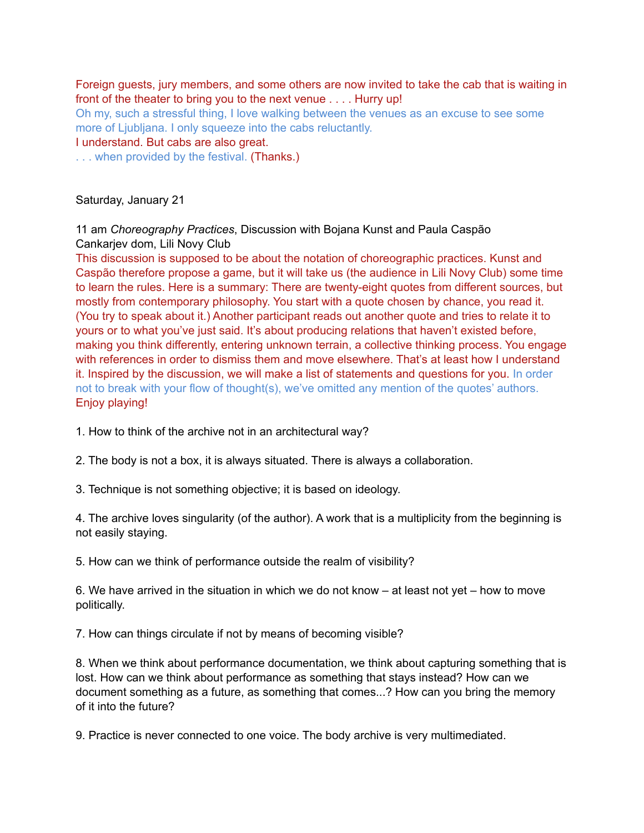Foreign guests, jury members, and some others are now invited to take the cab that is waiting in front of the theater to bring you to the next venue . . . . Hurry up!

Oh my, such a stressful thing, I love walking between the venues as an excuse to see some more of Ljubljana. I only squeeze into the cabs reluctantly.

I understand. But cabs are also great.

. . . when provided by the festival. (Thanks.)

Saturday, January 21

11 am *Choreography Practices*, Discussion with Bojana Kunst and Paula Caspão Cankarjev dom, Lili Novy Club

This discussion is supposed to be about the notation of choreographic practices. Kunst and Caspão therefore propose a game, but it will take us (the audience in Lili Novy Club) some time to learn the rules. Here is a summary: There are twenty-eight quotes from different sources, but mostly from contemporary philosophy. You start with a quote chosen by chance, you read it. (You try to speak about it.) Another participant reads out another quote and tries to relate it to yours or to what you've just said. It's about producing relations that haven't existed before, making you think differently, entering unknown terrain, a collective thinking process. You engage with references in order to dismiss them and move elsewhere. That's at least how I understand it. Inspired by the discussion, we will make a list of statements and questions for you. In order not to break with your flow of thought(s), we've omitted any mention of the quotes' authors. Enjoy playing!

1. How to think of the archive not in an architectural way?

2. The body is not a box, it is always situated. There is always a collaboration.

3. Technique is not something objective; it is based on ideology.

4. The archive loves singularity (of the author). A work that is a multiplicity from the beginning is not easily staying.

5. How can we think of performance outside the realm of visibility?

6. We have arrived in the situation in which we do not know – at least not yet – how to move politically.

7. How can things circulate if not by means of becoming visible?

8. When we think about performance documentation, we think about capturing something that is lost. How can we think about performance as something that stays instead? How can we document something as a future, as something that comes...? How can you bring the memory of it into the future?

9. Practice is never connected to one voice. The body archive is very multimediated.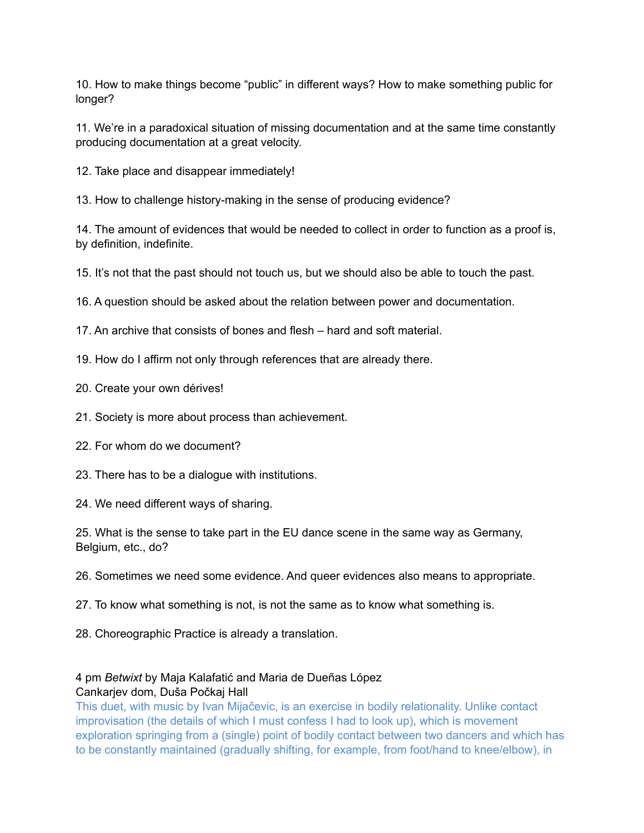10. How to make things become "public" in different ways? How to make something public for longer?

11. We're in a paradoxical situation of missing documentation and at the same time constantly producing documentation at a great velocity.

12. Take place and disappear immediately!

13. How to challenge history-making in the sense of producing evidence?

14. The amount of evidences that would be needed to collect in order to function as a proof is, by definition, indefinite.

15. It's not that the past should not touch us, but we should also be able to touch the past.

16. A question should be asked about the relation between power and documentation.

17. An archive that consists of bones and flesh – hard and soft material.

19. How do I affirm not only through references that are already there.

- 20. Create your own dérives!
- 21. Society is more about process than achievement.
- 22. For whom do we document?
- 23. There has to be a dialogue with institutions.

24. We need different ways of sharing.

25. What is the sense to take part in the EU dance scene in the same way as Germany, Belgium, etc., do?

26. Sometimes we need some evidence. And queer evidences also means to appropriate.

- 27. To know what something is not, is not the same as to know what something is.
- 28. Choreographic Practice is already a translation.

### 4 pm *Betwixt* by Maja Kalafatić and Maria de Dueñas López Cankarjev dom, Duša Počkaj Hall

This duet, with music by Ivan Mijačevic, is an exercise in bodily relationality. Unlike contact improvisation (the details of which I must confess I had to look up), which is movement exploration springing from a (single) point of bodily contact between two dancers and which has to be constantly maintained (gradually shifting, for example, from foot/hand to knee/elbow), in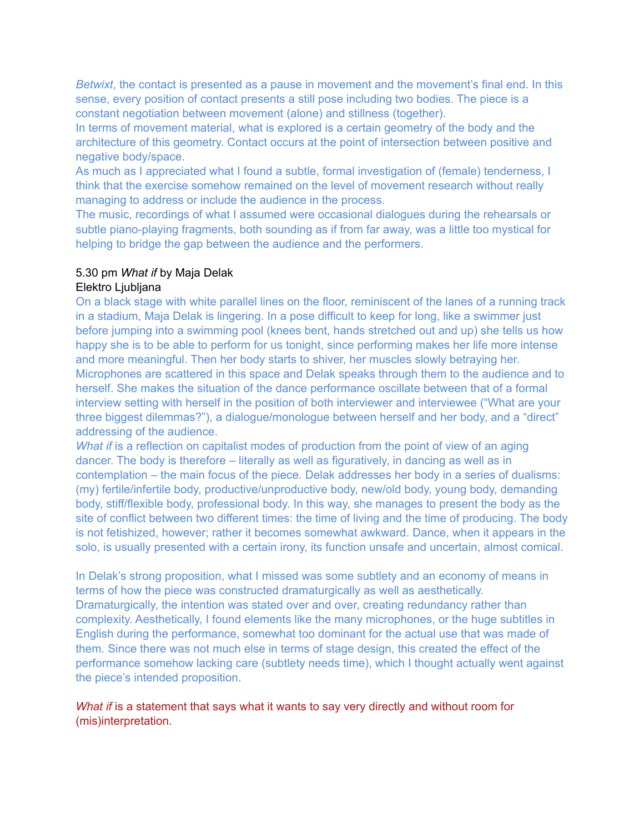*Betwixt*, the contact is presented as a pause in movement and the movement's final end. In this sense, every position of contact presents a still pose including two bodies. The piece is a constant negotiation between movement (alone) and stillness (together).

In terms of movement material, what is explored is a certain geometry of the body and the architecture of this geometry. Contact occurs at the point of intersection between positive and negative body/space.

As much as I appreciated what I found a subtle, formal investigation of (female) tenderness, I think that the exercise somehow remained on the level of movement research without really managing to address or include the audience in the process.

The music, recordings of what I assumed were occasional dialogues during the rehearsals or subtle piano-playing fragments, both sounding as if from far away, was a little too mystical for helping to bridge the gap between the audience and the performers.

# 5.30 pm *What if* by Maja Delak

# Elektro Ljubljana

On a black stage with white parallel lines on the floor, reminiscent of the lanes of a running track in a stadium, Maja Delak is lingering. In a pose difficult to keep for long, like a swimmer just before jumping into a swimming pool (knees bent, hands stretched out and up) she tells us how happy she is to be able to perform for us tonight, since performing makes her life more intense and more meaningful. Then her body starts to shiver, her muscles slowly betraying her. Microphones are scattered in this space and Delak speaks through them to the audience and to herself. She makes the situation of the dance performance oscillate between that of a formal interview setting with herself in the position of both interviewer and interviewee ("What are your three biggest dilemmas?"), a dialogue/monologue between herself and her body, and a "direct" addressing of the audience.

*What if* is a reflection on capitalist modes of production from the point of view of an aging dancer. The body is therefore – literally as well as figuratively, in dancing as well as in contemplation – the main focus of the piece. Delak addresses her body in a series of dualisms: (my) fertile/infertile body, productive/unproductive body, new/old body, young body, demanding body, stiff/flexible body, professional body. In this way, she manages to present the body as the site of conflict between two different times: the time of living and the time of producing. The body is not fetishized, however; rather it becomes somewhat awkward. Dance, when it appears in the solo, is usually presented with a certain irony, its function unsafe and uncertain, almost comical.

In Delak's strong proposition, what I missed was some subtlety and an economy of means in terms of how the piece was constructed dramaturgically as well as aesthetically. Dramaturgically, the intention was stated over and over, creating redundancy rather than complexity. Aesthetically, I found elements like the many microphones, or the huge subtitles in English during the performance, somewhat too dominant for the actual use that was made of them. Since there was not much else in terms of stage design, this created the effect of the performance somehow lacking care (subtlety needs time), which I thought actually went against the piece's intended proposition.

*What if* is a statement that says what it wants to say very directly and without room for (mis)interpretation.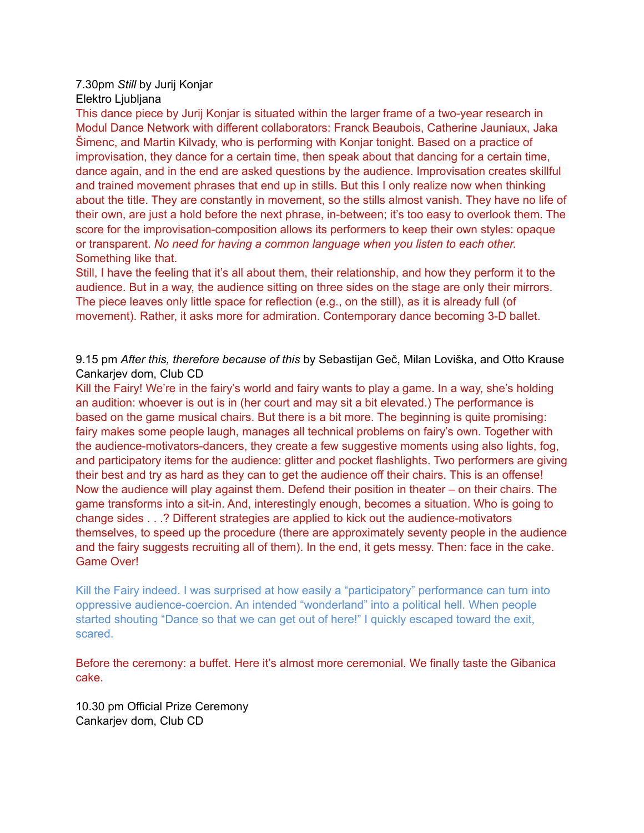### 7.30pm *Still* by Jurij Konjar Elektro Ljubljana

This dance piece by Jurij Konjar is situated within the larger frame of a two-year research in Modul Dance Network with different collaborators: Franck Beaubois, Catherine Jauniaux, Jaka Šimenc, and Martin Kilvady, who is performing with Konjar tonight. Based on a practice of improvisation, they dance for a certain time, then speak about that dancing for a certain time, dance again, and in the end are asked questions by the audience. Improvisation creates skillful and trained movement phrases that end up in stills. But this I only realize now when thinking about the title. They are constantly in movement, so the stills almost vanish. They have no life of their own, are just a hold before the next phrase, in-between; it's too easy to overlook them. The score for the improvisation-composition allows its performers to keep their own styles: opaque or transparent. *No need for having a common language when you listen to each other.* Something like that.

Still, I have the feeling that it's all about them, their relationship, and how they perform it to the audience. But in a way, the audience sitting on three sides on the stage are only their mirrors. The piece leaves only little space for reflection (e.g., on the still), as it is already full (of movement). Rather, it asks more for admiration. Contemporary dance becoming 3-D ballet.

9.15 pm *After this, therefore because of this* by Sebastijan Geč, Milan Loviška, and Otto Krause Cankarjev dom, Club CD

Kill the Fairy! We're in the fairy's world and fairy wants to play a game. In a way, she's holding an audition: whoever is out is in (her court and may sit a bit elevated.) The performance is based on the game musical chairs. But there is a bit more. The beginning is quite promising: fairy makes some people laugh, manages all technical problems on fairy's own. Together with the audience-motivators-dancers, they create a few suggestive moments using also lights, fog, and participatory items for the audience: glitter and pocket flashlights. Two performers are giving their best and try as hard as they can to get the audience off their chairs. This is an offense! Now the audience will play against them. Defend their position in theater – on their chairs. The game transforms into a sit-in. And, interestingly enough, becomes a situation. Who is going to change sides . . .? Different strategies are applied to kick out the audience-motivators themselves, to speed up the procedure (there are approximately seventy people in the audience and the fairy suggests recruiting all of them). In the end, it gets messy. Then: face in the cake. Game Over!

Kill the Fairy indeed. I was surprised at how easily a "participatory" performance can turn into oppressive audience-coercion. An intended "wonderland" into a political hell. When people started shouting "Dance so that we can get out of here!" I quickly escaped toward the exit, scared.

Before the ceremony: a buffet. Here it's almost more ceremonial. We finally taste the Gibanica cake.

10.30 pm Official Prize Ceremony Cankarjev dom, Club CD